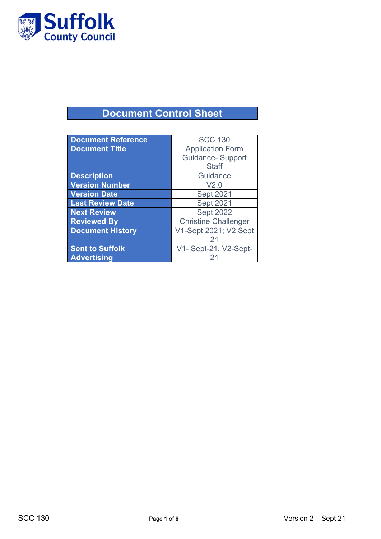

# **Document Control Sheet**

| <b>Document Reference</b> | <b>SCC 130</b>              |
|---------------------------|-----------------------------|
| <b>Document Title</b>     | <b>Application Form</b>     |
|                           | <b>Guidance- Support</b>    |
|                           | <b>Staff</b>                |
| <b>Description</b>        | Guidance                    |
| <b>Version Number</b>     | V2.0                        |
| <b>Version Date</b>       | <b>Sept 2021</b>            |
| <b>Last Review Date</b>   | <b>Sept 2021</b>            |
| <b>Next Review</b>        | <b>Sept 2022</b>            |
| <b>Reviewed By</b>        | <b>Christine Challenger</b> |
| <b>Document History</b>   | V1-Sept 2021; V2 Sept       |
|                           | 21                          |
| <b>Sent to Suffolk</b>    | V1- Sept-21, V2-Sept-       |
| <b>Advertising</b>        |                             |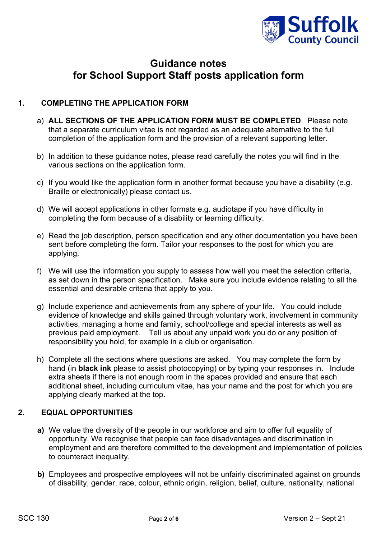

# **Guidance notes for School Support Staff posts application form**

### **1. COMPLETING THE APPLICATION FORM**

- a) **ALL SECTIONS OF THE APPLICATION FORM MUST BE COMPLETED**. Please note that a separate curriculum vitae is not regarded as an adequate alternative to the full completion of the application form and the provision of a relevant supporting letter.
- b) In addition to these guidance notes, please read carefully the notes you will find in the various sections on the application form.
- c) If you would like the application form in another format because you have a disability (e.g. Braille or electronically) please contact us.
- d) We will accept applications in other formats e.g. audiotape if you have difficulty in completing the form because of a disability or learning difficulty.
- e) Read the job description, person specification and any other documentation you have been sent before completing the form. Tailor your responses to the post for which you are applying.
- f) We will use the information you supply to assess how well you meet the selection criteria, as set down in the person specification. Make sure you include evidence relating to all the essential and desirable criteria that apply to you.
- g) Include experience and achievements from any sphere of your life. You could include evidence of knowledge and skills gained through voluntary work, involvement in community activities, managing a home and family, school/college and special interests as well as previous paid employment. Tell us about any unpaid work you do or any position of responsibility you hold, for example in a club or organisation.
- h) Complete all the sections where questions are asked. You may complete the form by hand (in **black ink** please to assist photocopying) or by typing your responses in. Include extra sheets if there is not enough room in the spaces provided and ensure that each additional sheet, including curriculum vitae, has your name and the post for which you are applying clearly marked at the top.

#### **2. EQUAL OPPORTUNITIES**

- **a)** We value the diversity of the people in our workforce and aim to offer full equality of opportunity. We recognise that people can face disadvantages and discrimination in employment and are therefore committed to the development and implementation of policies to counteract inequality.
- **b)** Employees and prospective employees will not be unfairly discriminated against on grounds of disability, gender, race, colour, ethnic origin, religion, belief, culture, nationality, national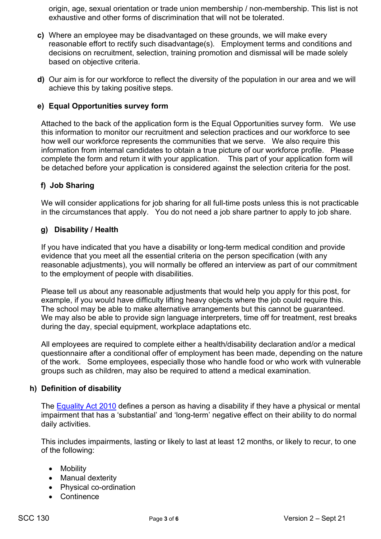origin, age, sexual orientation or trade union membership / non-membership. This list is not exhaustive and other forms of discrimination that will not be tolerated.

- **c)** Where an employee may be disadvantaged on these grounds, we will make every reasonable effort to rectify such disadvantage(s). Employment terms and conditions and decisions on recruitment, selection, training promotion and dismissal will be made solely based on objective criteria.
- **d)** Our aim is for our workforce to reflect the diversity of the population in our area and we will achieve this by taking positive steps.

#### **e) Equal Opportunities survey form**

Attached to the back of the application form is the Equal Opportunities survey form. We use this information to monitor our recruitment and selection practices and our workforce to see how well our workforce represents the communities that we serve. We also require this information from internal candidates to obtain a true picture of our workforce profile. Please complete the form and return it with your application. This part of your application form will be detached before your application is considered against the selection criteria for the post.

#### **f) Job Sharing**

We will consider applications for job sharing for all full-time posts unless this is not practicable in the circumstances that apply. You do not need a job share partner to apply to job share.

#### **g) Disability / Health**

If you have indicated that you have a disability or long-term medical condition and provide evidence that you meet all the essential criteria on the person specification (with any reasonable adjustments), you will normally be offered an interview as part of our commitment to the employment of people with disabilities.

Please tell us about any reasonable adjustments that would help you apply for this post, for example, if you would have difficulty lifting heavy objects where the job could require this. The school may be able to make alternative arrangements but this cannot be guaranteed. We may also be able to provide sign language interpreters, time off for treatment, rest breaks during the day, special equipment, workplace adaptations etc.

All employees are required to complete either a health/disability declaration and/or a medical questionnaire after a conditional offer of employment has been made, depending on the nature of the work. Some employees, especially those who handle food or who work with vulnerable groups such as children, may also be required to attend a medical examination.

#### **h) Definition of disability**

The [Equality Act 2010](http://www.legislation.gov.uk/ukpga/2010/15/section/6) defines a person as having a disability if they have a physical or mental impairment that has a 'substantial' and 'long-term' negative effect on their ability to do normal daily activities.

This includes impairments, lasting or likely to last at least 12 months, or likely to recur, to one of the following:

- Mobility
- Manual dexterity
- Physical co-ordination
- Continence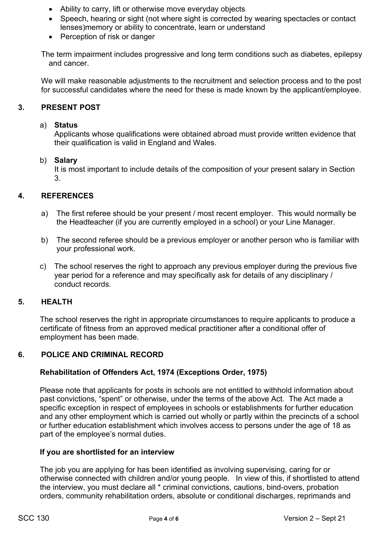- Ability to carry, lift or otherwise move everyday objects
- Speech, hearing or sight (not where sight is corrected by wearing spectacles or contact lenses)memory or ability to concentrate, learn or understand
- Perception of risk or danger

The term impairment includes progressive and long term conditions such as diabetes, epilepsy and cancer.

We will make reasonable adjustments to the recruitment and selection process and to the post for successful candidates where the need for these is made known by the applicant/employee.

# **3. PRESENT POST**

#### a) **Status**

Applicants whose qualifications were obtained abroad must provide written evidence that their qualification is valid in England and Wales.

#### b) **Salary**

It is most important to include details of the composition of your present salary in Section 3.

# **4. REFERENCES**

- a) The first referee should be your present / most recent employer. This would normally be the Headteacher (if you are currently employed in a school) or your Line Manager.
- b) The second referee should be a previous employer or another person who is familiar with your professional work.
- c) The school reserves the right to approach any previous employer during the previous five year period for a reference and may specifically ask for details of any disciplinary / conduct records.

#### **5. HEALTH**

The school reserves the right in appropriate circumstances to require applicants to produce a certificate of fitness from an approved medical practitioner after a conditional offer of employment has been made.

#### **6. POLICE AND CRIMINAL RECORD**

#### **Rehabilitation of Offenders Act, 1974 (Exceptions Order, 1975)**

Please note that applicants for posts in schools are not entitled to withhold information about past convictions, "spent" or otherwise, under the terms of the above Act. The Act made a specific exception in respect of employees in schools or establishments for further education and any other employment which is carried out wholly or partly within the precincts of a school or further education establishment which involves access to persons under the age of 18 as part of the employee's normal duties.

#### **If you are shortlisted for an interview**

The job you are applying for has been identified as involving supervising, caring for or otherwise connected with children and/or young people. In view of this, if shortlisted to attend the interview, you must declare all \* criminal convictions, cautions, bind-overs, probation orders, community rehabilitation orders, absolute or conditional discharges, reprimands and